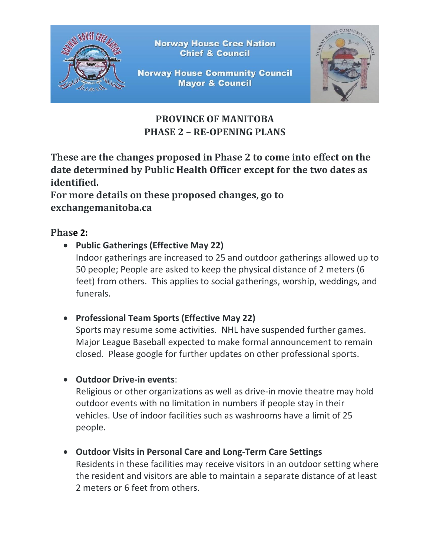

**Norway House Cree Nation Chief & Council** 

**Norway House Community Council Mayor & Council** 



# **PROVINCE OF MANITOBA PHASE 2 – RE-OPENING PLANS**

**These are the changes proposed in Phase 2 to come into effect on the date determined by Public Health Officer except for the two dates as identified.** 

**For more details on these proposed changes, go to exchangemanitoba.ca**

# **Phase 2:**

• **Public Gatherings (Effective May 22)**

Indoor gatherings are increased to 25 and outdoor gatherings allowed up to 50 people; People are asked to keep the physical distance of 2 meters (6 feet) from others. This applies to social gatherings, worship, weddings, and funerals.

• **Professional Team Sports (Effective May 22)**

Sports may resume some activities. NHL have suspended further games. Major League Baseball expected to make formal announcement to remain closed. Please google for further updates on other professional sports.

• **Outdoor Drive-in events**:

Religious or other organizations as well as drive-in movie theatre may hold outdoor events with no limitation in numbers if people stay in their vehicles. Use of indoor facilities such as washrooms have a limit of 25 people.

• **Outdoor Visits in Personal Care and Long-Term Care Settings**

Residents in these facilities may receive visitors in an outdoor setting where the resident and visitors are able to maintain a separate distance of at least 2 meters or 6 feet from others.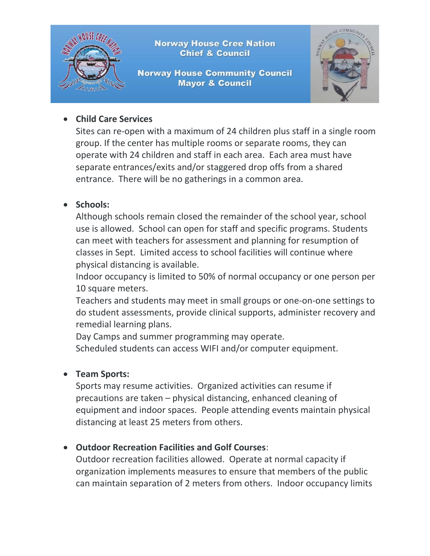

#### • **Child Care Services**

Sites can re-open with a maximum of 24 children plus staff in a single room group. If the center has multiple rooms or separate rooms, they can operate with 24 children and staff in each area. Each area must have separate entrances/exits and/or staggered drop offs from a shared entrance. There will be no gatherings in a common area.

## • **Schools:**

Although schools remain closed the remainder of the school year, school use is allowed. School can open for staff and specific programs. Students can meet with teachers for assessment and planning for resumption of classes in Sept. Limited access to school facilities will continue where physical distancing is available.

Indoor occupancy is limited to 50% of normal occupancy or one person per 10 square meters.

Teachers and students may meet in small groups or one-on-one settings to do student assessments, provide clinical supports, administer recovery and remedial learning plans.

Day Camps and summer programming may operate.

Scheduled students can access WIFI and/or computer equipment.

#### • **Team Sports:**

Sports may resume activities. Organized activities can resume if precautions are taken – physical distancing, enhanced cleaning of equipment and indoor spaces. People attending events maintain physical distancing at least 25 meters from others.

## • **Outdoor Recreation Facilities and Golf Courses**:

Outdoor recreation facilities allowed. Operate at normal capacity if organization implements measures to ensure that members of the public can maintain separation of 2 meters from others. Indoor occupancy limits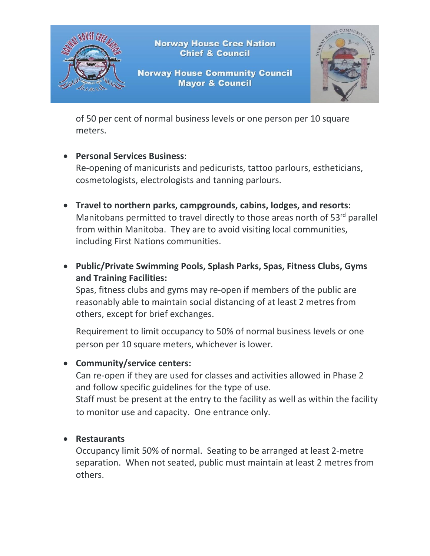

of 50 per cent of normal business levels or one person per 10 square meters.

## • **Personal Services Business**:

Re-opening of manicurists and pedicurists, tattoo parlours, estheticians, cosmetologists, electrologists and tanning parlours.

- **Travel to northern parks, campgrounds, cabins, lodges, and resorts:** Manitobans permitted to travel directly to those areas north of  $53<sup>rd</sup>$  parallel from within Manitoba. They are to avoid visiting local communities, including First Nations communities.
- **Public/Private Swimming Pools, Splash Parks, Spas, Fitness Clubs, Gyms and Training Facilities:**

Spas, fitness clubs and gyms may re-open if members of the public are reasonably able to maintain social distancing of at least 2 metres from others, except for brief exchanges.

Requirement to limit occupancy to 50% of normal business levels or one person per 10 square meters, whichever is lower.

#### • **Community/service centers:**

Can re-open if they are used for classes and activities allowed in Phase 2 and follow specific guidelines for the type of use.

Staff must be present at the entry to the facility as well as within the facility to monitor use and capacity. One entrance only.

#### • **Restaurants**

Occupancy limit 50% of normal. Seating to be arranged at least 2-metre separation. When not seated, public must maintain at least 2 metres from others.